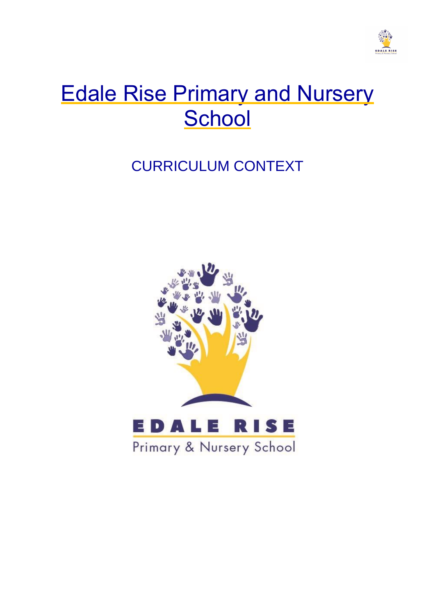

# Edale Rise Primary and Nursery **School**

## CURRICULUM CONTEXT

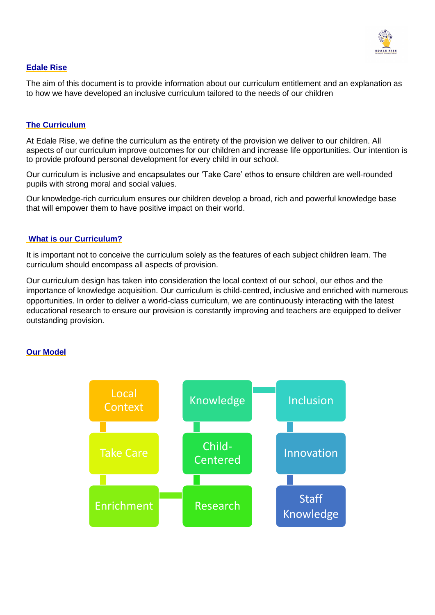

#### **Edale Rise**

The aim of this document is to provide information about our curriculum entitlement and an explanation as to how we have developed an inclusive curriculum tailored to the needs of our children

#### **The Curriculum**

At Edale Rise, we define the curriculum as the entirety of the provision we deliver to our children. All aspects of our curriculum improve outcomes for our children and increase life opportunities. Our intention is to provide profound personal development for every child in our school.

Our curriculum is inclusive and encapsulates our 'Take Care' ethos to ensure children are well-rounded pupils with strong moral and social values.

Our knowledge-rich curriculum ensures our children develop a broad, rich and powerful knowledge base that will empower them to have positive impact on their world.

#### **What is our Curriculum?**

It is important not to conceive the curriculum solely as the features of each subject children learn. The curriculum should encompass all aspects of provision.

Our curriculum design has taken into consideration the local context of our school, our ethos and the importance of knowledge acquisition. Our curriculum is child-centred, inclusive and enriched with numerous opportunities. In order to deliver a world-class curriculum, we are continuously interacting with the latest educational research to ensure our provision is constantly improving and teachers are equipped to deliver outstanding provision.

#### **Our Model**

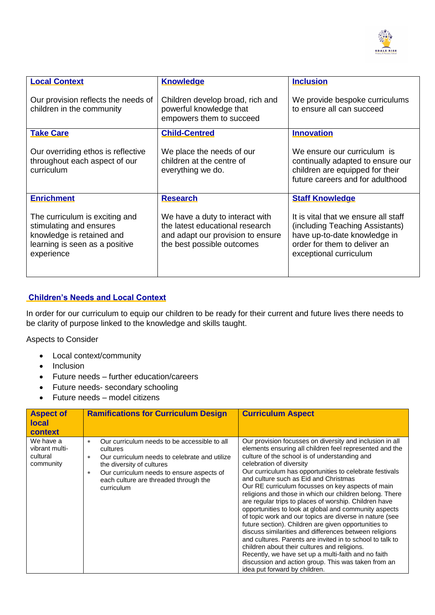

| <b>Local Context</b>                                                                                                                   | <b>Knowledge</b>                                                                                                                      | <b>Inclusion</b>                                                                                                                                                  |
|----------------------------------------------------------------------------------------------------------------------------------------|---------------------------------------------------------------------------------------------------------------------------------------|-------------------------------------------------------------------------------------------------------------------------------------------------------------------|
| Our provision reflects the needs of<br>children in the community                                                                       | Children develop broad, rich and<br>powerful knowledge that<br>empowers them to succeed                                               | We provide bespoke curriculums<br>to ensure all can succeed                                                                                                       |
| <b>Take Care</b>                                                                                                                       | <b>Child-Centred</b>                                                                                                                  | <b>Innovation</b>                                                                                                                                                 |
| Our overriding ethos is reflective<br>throughout each aspect of our<br>curriculum                                                      | We place the needs of our<br>children at the centre of<br>everything we do.                                                           | We ensure our curriculum is<br>continually adapted to ensure our<br>children are equipped for their<br>future careers and for adulthood                           |
| <b>Enrichment</b>                                                                                                                      | <b>Research</b>                                                                                                                       | <b>Staff Knowledge</b>                                                                                                                                            |
| The curriculum is exciting and<br>stimulating and ensures<br>knowledge is retained and<br>learning is seen as a positive<br>experience | We have a duty to interact with<br>the latest educational research<br>and adapt our provision to ensure<br>the best possible outcomes | It is vital that we ensure all staff<br>(including Teaching Assistants)<br>have up-to-date knowledge in<br>order for them to deliver an<br>exceptional curriculum |

#### **Children's Needs and Local Context**

In order for our curriculum to equip our children to be ready for their current and future lives there needs to be clarity of purpose linked to the knowledge and skills taught.

Aspects to Consider

- Local context/community
- Inclusion
- Future needs further education/careers
- Future needs- secondary schooling
- Future needs model citizens

| <b>Aspect of</b><br><b>local</b><br>context          | <b>Ramifications for Curriculum Design</b>                                                                                                                                                                                                                            | <b>Curriculum Aspect</b>                                                                                                                                                                                                                                                                                                                                                                                                                                                                                                                                                                                                                                                                                                                                                                                                                                                                                                                                                        |
|------------------------------------------------------|-----------------------------------------------------------------------------------------------------------------------------------------------------------------------------------------------------------------------------------------------------------------------|---------------------------------------------------------------------------------------------------------------------------------------------------------------------------------------------------------------------------------------------------------------------------------------------------------------------------------------------------------------------------------------------------------------------------------------------------------------------------------------------------------------------------------------------------------------------------------------------------------------------------------------------------------------------------------------------------------------------------------------------------------------------------------------------------------------------------------------------------------------------------------------------------------------------------------------------------------------------------------|
| We have a<br>vibrant multi-<br>cultural<br>community | Our curriculum needs to be accessible to all<br>$*$<br>cultures<br>Our curriculum needs to celebrate and utilize<br>$\ast$<br>the diversity of cultures<br>Our curriculum needs to ensure aspects of<br>$\ast$<br>each culture are threaded through the<br>curriculum | Our provision focusses on diversity and inclusion in all<br>elements ensuring all children feel represented and the<br>culture of the school is of understanding and<br>celebration of diversity<br>Our curriculum has opportunities to celebrate festivals<br>and culture such as Eid and Christmas<br>Our RE curriculum focusses on key aspects of main<br>religions and those in which our children belong. There<br>are regular trips to places of worship. Children have<br>opportunities to look at global and community aspects<br>of topic work and our topics are diverse in nature (see<br>future section). Children are given opportunities to<br>discuss similarities and differences between religions<br>and cultures. Parents are invited in to school to talk to<br>children about their cultures and religions.<br>Recently, we have set up a multi-faith and no faith<br>discussion and action group. This was taken from an<br>idea put forward by children. |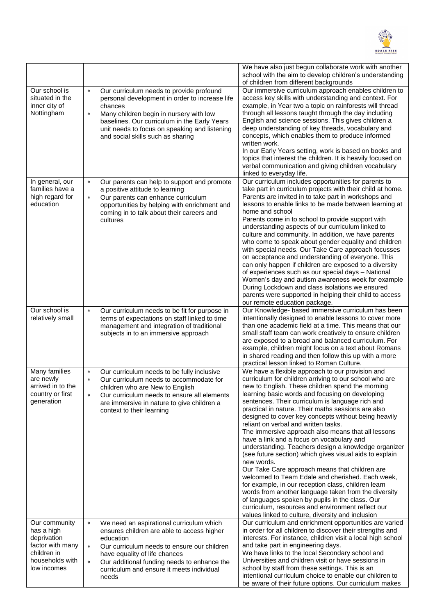

|                                                                                                                 |                                                                                                                                                                                                                                                                                                                        | We have also just begun collaborate work with another<br>school with the aim to develop children's understanding<br>of children from different backgrounds                                                                                                                                                                                                                                                                                                                                                                                                                                                                                                                                                                                                                                                                                                                                                                                                                                                                                        |
|-----------------------------------------------------------------------------------------------------------------|------------------------------------------------------------------------------------------------------------------------------------------------------------------------------------------------------------------------------------------------------------------------------------------------------------------------|---------------------------------------------------------------------------------------------------------------------------------------------------------------------------------------------------------------------------------------------------------------------------------------------------------------------------------------------------------------------------------------------------------------------------------------------------------------------------------------------------------------------------------------------------------------------------------------------------------------------------------------------------------------------------------------------------------------------------------------------------------------------------------------------------------------------------------------------------------------------------------------------------------------------------------------------------------------------------------------------------------------------------------------------------|
| Our school is<br>situated in the<br>inner city of<br>Nottingham                                                 | Our curriculum needs to provide profound<br>$\ast$<br>personal development in order to increase life<br>chances<br>Many children begin in nursery with low<br>$\ast$<br>baselines. Our curriculum in the Early Years<br>unit needs to focus on speaking and listening<br>and social skills such as sharing             | Our immersive curriculum approach enables children to<br>access key skills with understanding and context. For<br>example, in Year two a topic on rainforests will thread<br>through all lessons taught through the day including<br>English and science sessions. This gives children a<br>deep understanding of key threads, vocabulary and<br>concepts, which enables them to produce informed<br>written work.<br>In our Early Years setting, work is based on books and<br>topics that interest the children. It is heavily focused on<br>verbal communication and giving children vocabulary<br>linked to everyday life.                                                                                                                                                                                                                                                                                                                                                                                                                    |
| In general, our<br>families have a<br>high regard for<br>education                                              | Our parents can help to support and promote<br>$\ast$<br>a positive attitude to learning<br>Our parents can enhance curriculum<br>$\ast$<br>opportunities by helping with enrichment and<br>coming in to talk about their careers and<br>cultures                                                                      | Our curriculum includes opportunities for parents to<br>take part in curriculum projects with their child at home.<br>Parents are invited in to take part in workshops and<br>lessons to enable links to be made between learning at<br>home and school<br>Parents come in to school to provide support with<br>understanding aspects of our curriculum linked to<br>culture and community. In addition, we have parents<br>who come to speak about gender equality and children<br>with special needs. Our Take Care approach focusses<br>on acceptance and understanding of everyone. This<br>can only happen if children are exposed to a diversity<br>of experiences such as our special days - National<br>Women's day and autism awareness week for example<br>During Lockdown and class isolations we ensured<br>parents were supported in helping their child to access<br>our remote education package.                                                                                                                                  |
| Our school is<br>relatively small                                                                               | Our curriculum needs to be fit for purpose in<br>$\ast$<br>terms of expectations on staff linked to time<br>management and integration of traditional<br>subjects in to an immersive approach                                                                                                                          | Our Knowledge- based immersive curriculum has been<br>intentionally designed to enable lessons to cover more<br>than one academic field at a time. This means that our<br>small staff team can work creatively to ensure children<br>are exposed to a broad and balanced curriculum. For<br>example, children might focus on a text about Romans<br>in shared reading and then follow this up with a more<br>practical lesson linked to Roman Culture.                                                                                                                                                                                                                                                                                                                                                                                                                                                                                                                                                                                            |
| Many families<br>are newly<br>arrived in to the<br>country or first<br>generation                               | Our curriculum needs to be fully inclusive<br>$\ast$<br>Our curriculum needs to accommodate for<br>$\ast$<br>children who are New to English<br>Our curriculum needs to ensure all elements<br>$\ast$<br>are immersive in nature to give children a<br>context to their learning                                       | We have a flexible approach to our provision and<br>curriculum for children arriving to our school who are<br>new to English. These children spend the morning<br>learning basic words and focusing on developing<br>sentences. Their curriculum is language rich and<br>practical in nature. Their maths sessions are also<br>designed to cover key concepts without being heavily<br>reliant on verbal and written tasks.<br>The immersive approach also means that all lessons<br>have a link and a focus on vocabulary and<br>understanding. Teachers design a knowledge organizer<br>(see future section) which gives visual aids to explain<br>new words.<br>Our Take Care approach means that children are<br>welcomed to Team Edale and cherished. Each week,<br>for example, in our reception class, children learn<br>words from another language taken from the diversity<br>of languages spoken by pupils in the class. Our<br>curriculum, resources and environment reflect our<br>values linked to culture, diversity and inclusion |
| Our community<br>has a high<br>deprivation<br>factor with many<br>children in<br>households with<br>low incomes | We need an aspirational curriculum which<br>$\ast$<br>ensures children are able to access higher<br>education<br>Our curriculum needs to ensure our children<br>$\ast$<br>have equality of life chances<br>Our additional funding needs to enhance the<br>$\ast$<br>curriculum and ensure it meets individual<br>needs | Our curriculum and enrichment opportunities are varied<br>in order for all children to discover their strengths and<br>interests. For instance, children visit a local high school<br>and take part in engineering days.<br>We have links to the local Secondary school and<br>Universities and children visit or have sessions in<br>school by staff from these settings. This is an<br>intentional curriculum choice to enable our children to<br>be aware of their future options. Our curriculum makes                                                                                                                                                                                                                                                                                                                                                                                                                                                                                                                                        |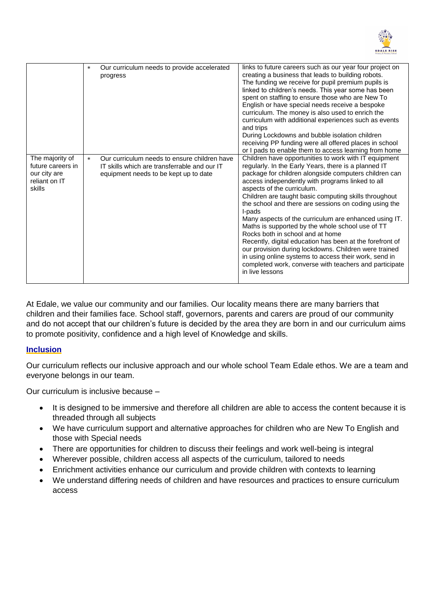

|                                                                                 | $\ast$ | Our curriculum needs to provide accelerated<br>progress                                                                               | links to future careers such as our year four project on<br>creating a business that leads to building robots.<br>The funding we receive for pupil premium pupils is<br>linked to children's needs. This year some has been<br>spent on staffing to ensure those who are New To<br>English or have special needs receive a bespoke<br>curriculum. The money is also used to enrich the<br>curriculum with additional experiences such as events<br>and trips<br>During Lockdowns and bubble isolation children<br>receiving PP funding were all offered places in school<br>or I pads to enable them to access learning from home                                                                                                                                                                |
|---------------------------------------------------------------------------------|--------|---------------------------------------------------------------------------------------------------------------------------------------|--------------------------------------------------------------------------------------------------------------------------------------------------------------------------------------------------------------------------------------------------------------------------------------------------------------------------------------------------------------------------------------------------------------------------------------------------------------------------------------------------------------------------------------------------------------------------------------------------------------------------------------------------------------------------------------------------------------------------------------------------------------------------------------------------|
| The majority of<br>future careers in<br>our city are<br>reliant on IT<br>skills | $\ast$ | Our curriculum needs to ensure children have<br>IT skills which are transferrable and our IT<br>equipment needs to be kept up to date | Children have opportunities to work with IT equipment<br>regularly. In the Early Years, there is a planned IT<br>package for children alongside computers children can<br>access independently with programs linked to all<br>aspects of the curriculum.<br>Children are taught basic computing skills throughout<br>the school and there are sessions on coding using the<br>I-pads<br>Many aspects of the curriculum are enhanced using IT.<br>Maths is supported by the whole school use of TT<br>Rocks both in school and at home<br>Recently, digital education has been at the forefront of<br>our provision during lockdowns. Children were trained<br>in using online systems to access their work, send in<br>completed work, converse with teachers and participate<br>in live lessons |

At Edale, we value our community and our families. Our locality means there are many barriers that children and their families face. School staff, governors, parents and carers are proud of our community and do not accept that our children's future is decided by the area they are born in and our curriculum aims to promote positivity, confidence and a high level of Knowledge and skills.

#### **Inclusion**

Our curriculum reflects our inclusive approach and our whole school Team Edale ethos. We are a team and everyone belongs in our team.

Our curriculum is inclusive because –

- It is designed to be immersive and therefore all children are able to access the content because it is threaded through all subjects
- We have curriculum support and alternative approaches for children who are New To English and those with Special needs
- There are opportunities for children to discuss their feelings and work well-being is integral
- Wherever possible, children access all aspects of the curriculum, tailored to needs
- Enrichment activities enhance our curriculum and provide children with contexts to learning
- We understand differing needs of children and have resources and practices to ensure curriculum access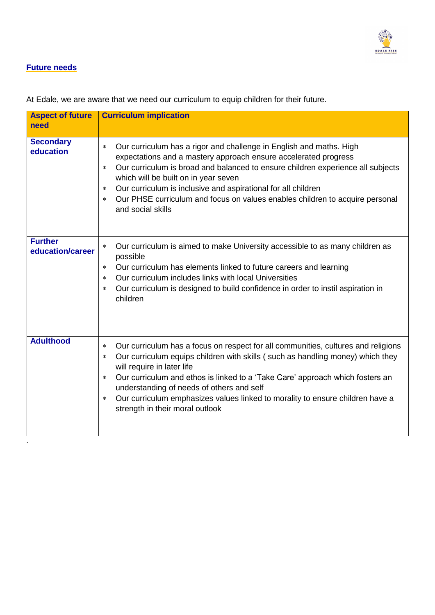

#### **Future needs**

| <b>Aspect of future</b><br>need    | <b>Curriculum implication</b>                                                                                                                                                                                                                                                                                                                                                                                                                                                               |
|------------------------------------|---------------------------------------------------------------------------------------------------------------------------------------------------------------------------------------------------------------------------------------------------------------------------------------------------------------------------------------------------------------------------------------------------------------------------------------------------------------------------------------------|
| <b>Secondary</b><br>education      | Our curriculum has a rigor and challenge in English and maths. High<br>$\ast$<br>expectations and a mastery approach ensure accelerated progress<br>Our curriculum is broad and balanced to ensure children experience all subjects<br>*<br>which will be built on in year seven<br>Our curriculum is inclusive and aspirational for all children<br>$\ast$<br>Our PHSE curriculum and focus on values enables children to acquire personal<br>$\ast$<br>and social skills                  |
| <b>Further</b><br>education/career | Our curriculum is aimed to make University accessible to as many children as<br>$\ast$<br>possible<br>Our curriculum has elements linked to future careers and learning<br>$\ast$<br>Our curriculum includes links with local Universities<br>$\ast$<br>Our curriculum is designed to build confidence in order to instil aspiration in<br>$\ast$<br>children                                                                                                                               |
| <b>Adulthood</b>                   | Our curriculum has a focus on respect for all communities, cultures and religions<br>$\ast$<br>Our curriculum equips children with skills (such as handling money) which they<br>$\ast$<br>will require in later life<br>Our curriculum and ethos is linked to a 'Take Care' approach which fosters an<br>$\ast$<br>understanding of needs of others and self<br>Our curriculum emphasizes values linked to morality to ensure children have a<br>$\ast$<br>strength in their moral outlook |

At Edale, we are aware that we need our curriculum to equip children for their future.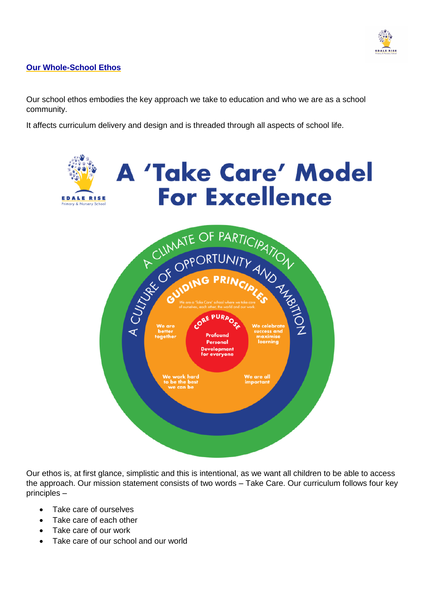

#### **Our Whole-School Ethos**

Our school ethos embodies the key approach we take to education and who we are as a school community.

It affects curriculum delivery and design and is threaded through all aspects of school life.



Our ethos is, at first glance, simplistic and this is intentional, as we want all children to be able to access the approach. Our mission statement consists of two words – Take Care. Our curriculum follows four key principles –

- Take care of ourselves
- Take care of each other
- Take care of our work
- Take care of our school and our world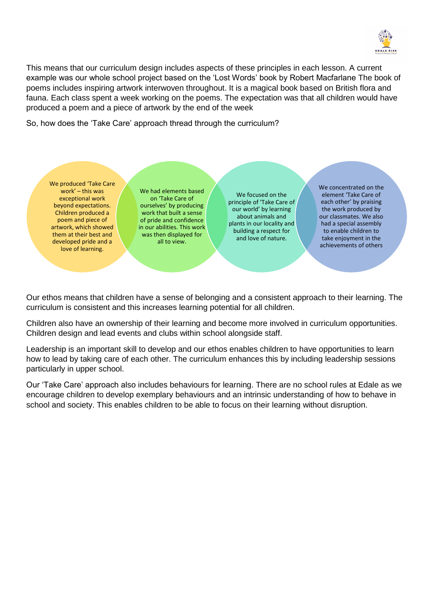

This means that our curriculum design includes aspects of these principles in each lesson. A current example was our whole school project based on the 'Lost Words' book by Robert Macfarlane The book of poems includes inspiring artwork interwoven throughout. It is a magical book based on British flora and fauna. Each class spent a week working on the poems. The expectation was that all children would have produced a poem and a piece of artwork by the end of the week

So, how does the 'Take Care' approach thread through the curriculum?

We produced 'Take Care work' – this was exceptional work beyond expectations. Children produced a poem and piece of artwork, which showed them at their best and developed pride and a love of learning.

We had elements based on 'Take Care of ourselves' by producing work that built a sense of pride and confidence in our abilities. This work was then displayed for all to view.

We focused on the principle of 'Take Care of our world' by learning about animals and plants in our locality and building a respect for and love of nature.

We concentrated on the element 'Take Care of each other' by praising the work produced by our classmates. We also had a special assembly to enable children to take enjoyment in the achievements of others

Our ethos means that children have a sense of belonging and a consistent approach to their learning. The curriculum is consistent and this increases learning potential for all children.

Children also have an ownership of their learning and become more involved in curriculum opportunities. Children design and lead events and clubs within school alongside staff.

Leadership is an important skill to develop and our ethos enables children to have opportunities to learn how to lead by taking care of each other. The curriculum enhances this by including leadership sessions particularly in upper school.

Our 'Take Care' approach also includes behaviours for learning. There are no school rules at Edale as we encourage children to develop exemplary behaviours and an intrinsic understanding of how to behave in school and society. This enables children to be able to focus on their learning without disruption.